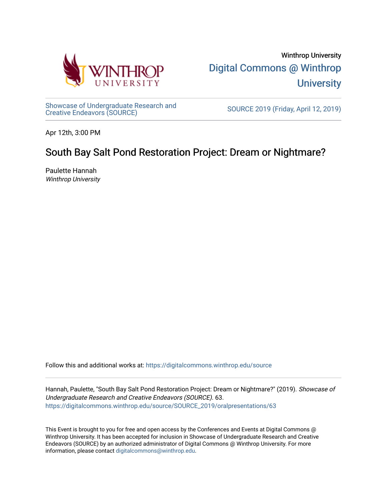

Winthrop University [Digital Commons @ Winthrop](https://digitalcommons.winthrop.edu/)  **University** 

[Showcase of Undergraduate Research and](https://digitalcommons.winthrop.edu/source)<br>Creative Endeavors (SOURCE)

SOURCE 2019 (Friday, April 12, 2019)

Apr 12th, 3:00 PM

# South Bay Salt Pond Restoration Project: Dream or Nightmare?

Paulette Hannah Winthrop University

Follow this and additional works at: [https://digitalcommons.winthrop.edu/source](https://digitalcommons.winthrop.edu/source?utm_source=digitalcommons.winthrop.edu%2Fsource%2FSOURCE_2019%2Foralpresentations%2F63&utm_medium=PDF&utm_campaign=PDFCoverPages)

Hannah, Paulette, "South Bay Salt Pond Restoration Project: Dream or Nightmare?" (2019). Showcase of Undergraduate Research and Creative Endeavors (SOURCE). 63. [https://digitalcommons.winthrop.edu/source/SOURCE\\_2019/oralpresentations/63](https://digitalcommons.winthrop.edu/source/SOURCE_2019/oralpresentations/63?utm_source=digitalcommons.winthrop.edu%2Fsource%2FSOURCE_2019%2Foralpresentations%2F63&utm_medium=PDF&utm_campaign=PDFCoverPages)

This Event is brought to you for free and open access by the Conferences and Events at Digital Commons @ Winthrop University. It has been accepted for inclusion in Showcase of Undergraduate Research and Creative Endeavors (SOURCE) by an authorized administrator of Digital Commons @ Winthrop University. For more information, please contact [digitalcommons@winthrop.edu.](mailto:digitalcommons@winthrop.edu)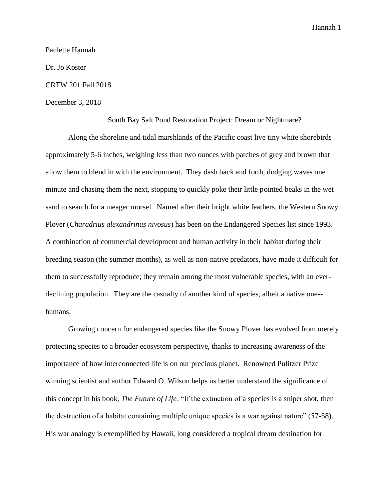Paulette Hannah

Dr. Jo Koster

## CRTW 201 Fall 2018

## December 3, 2018

#### South Bay Salt Pond Restoration Project: Dream or Nightmare?

Along the shoreline and tidal marshlands of the Pacific coast live tiny white shorebirds approximately 5-6 inches, weighing less than two ounces with patches of grey and brown that allow them to blend in with the environment. They dash back and forth, dodging waves one minute and chasing them the next, stopping to quickly poke their little pointed beaks in the wet sand to search for a meager morsel. Named after their bright white feathers, the Western Snowy Plover (*Charadrius alexandrinus nivosus*) has been on the Endangered Species list since 1993. A combination of commercial development and human activity in their habitat during their breeding season (the summer months), as well as non-native predators, have made it difficult for them to successfully reproduce; they remain among the most vulnerable species, with an everdeclining population. They are the casualty of another kind of species, albeit a native one- humans.

Growing concern for endangered species like the Snowy Plover has evolved from merely protecting species to a broader ecosystem perspective, thanks to increasing awareness of the importance of how interconnected life is on our precious planet. Renowned Pulitzer Prize winning scientist and author Edward O. Wilson helps us better understand the significance of this concept in his book, *The Future of Life*: "If the extinction of a species is a sniper shot, then the destruction of a habitat containing multiple unique species is a war against nature" (57-58). His war analogy is exemplified by Hawaii, long considered a tropical dream destination for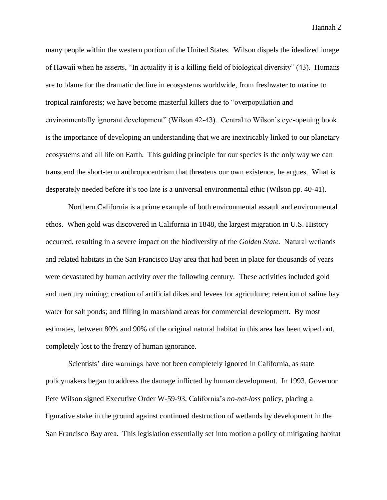many people within the western portion of the United States. Wilson dispels the idealized image of Hawaii when he asserts, "In actuality it is a killing field of biological diversity" (43). Humans are to blame for the dramatic decline in ecosystems worldwide, from freshwater to marine to tropical rainforests; we have become masterful killers due to "overpopulation and environmentally ignorant development" (Wilson 42-43). Central to Wilson's eye-opening book is the importance of developing an understanding that we are inextricably linked to our planetary ecosystems and all life on Earth. This guiding principle for our species is the only way we can transcend the short-term anthropocentrism that threatens our own existence, he argues. What is desperately needed before it's too late is a universal environmental ethic (Wilson pp. 40-41).

Northern California is a prime example of both environmental assault and environmental ethos. When gold was discovered in California in 1848, the largest migration in U.S. History occurred, resulting in a severe impact on the biodiversity of the *Golden State.* Natural wetlands and related habitats in the San Francisco Bay area that had been in place for thousands of years were devastated by human activity over the following century.These activities included gold and mercury mining; creation of artificial dikes and levees for agriculture; retention of saline bay water for salt ponds; and filling in marshland areas for commercial development. By most estimates, between 80% and 90% of the original natural habitat in this area has been wiped out, completely lost to the frenzy of human ignorance.

Scientists' dire warnings have not been completely ignored in California, as state policymakers began to address the damage inflicted by human development. In 1993, Governor Pete Wilson signed Executive Order W-59-93, California's *no-net-loss* policy, placing a figurative stake in the ground against continued destruction of wetlands by development in the San Francisco Bay area. This legislation essentially set into motion a policy of mitigating habitat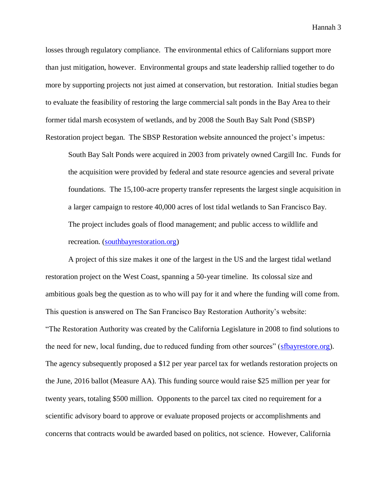losses through regulatory compliance. The environmental ethics of Californians support more than just mitigation, however. Environmental groups and state leadership rallied together to do more by supporting projects not just aimed at conservation, but restoration. Initial studies began to evaluate the feasibility of restoring the large commercial salt ponds in the Bay Area to their former tidal marsh ecosystem of wetlands, and by 2008 the South Bay Salt Pond (SBSP) Restoration project began. The SBSP Restoration website announced the project's impetus:

South Bay Salt Ponds were acquired in 2003 from privately owned Cargill Inc. Funds for the acquisition were provided by federal and state resource agencies and several private foundations. The 15,100-acre property transfer represents the largest single acquisition in a larger campaign to restore 40,000 acres of lost tidal wetlands to San Francisco Bay. The project includes goals of flood management; and public access to wildlife and recreation. [\(southbayrestoration.org\)](http://www.southbayrestoration.org/Project_Description.html)

A project of this size makes it one of the largest in the US and the largest tidal wetland restoration project on the West Coast, spanning a 50-year timeline. Its colossal size and ambitious goals beg the question as to who will pay for it and where the funding will come from. This question is answered on The San Francisco Bay Restoration Authority's website: "The Restoration Authority was created by the California Legislature in 2008 to find solutions to the need for new, local funding, due to reduced funding from other sources" [\(sfbayrestore.org\)](http://www.sfbayrestore.org/sf-bay-restoration-authority-faq.php). The agency subsequently proposed a \$12 per year parcel tax for wetlands restoration projects on the June, 2016 ballot (Measure AA). This funding source would raise \$25 million per year for twenty years, totaling \$500 million. Opponents to the parcel tax cited no requirement for a scientific advisory board to approve or evaluate proposed projects or accomplishments and concerns that contracts would be awarded based on politics, not science. However, California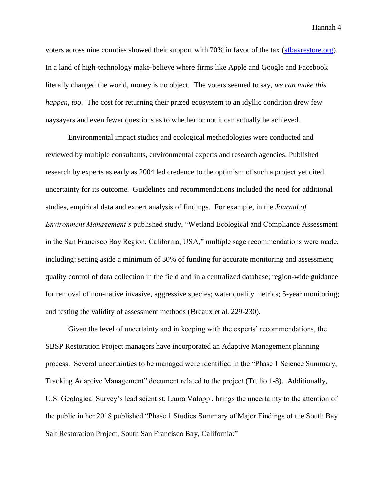voters across nine counties showed their support with 70% in favor of the tax [\(sfbayrestore.org\)](http://sfbayrestore.org/sf-bay-restoration-authority-parcel-tax.php). In a land of high-technology make-believe where firms like Apple and Google and Facebook literally changed the world, money is no object. The voters seemed to say, *we can make this happen, too*. The cost for returning their prized ecosystem to an idyllic condition drew few naysayers and even fewer questions as to whether or not it can actually be achieved.

Environmental impact studies and ecological methodologies were conducted and reviewed by multiple consultants, environmental experts and research agencies. Published research by experts as early as 2004 led credence to the optimism of such a project yet cited uncertainty for its outcome. Guidelines and recommendations included the need for additional studies, empirical data and expert analysis of findings. For example, in the *Journal of Environment Management's* published study, "Wetland Ecological and Compliance Assessment in the San Francisco Bay Region, California, USA," multiple sage recommendations were made, including: setting aside a minimum of 30% of funding for accurate monitoring and assessment; quality control of data collection in the field and in a centralized database; region-wide guidance for removal of non-native invasive, aggressive species; water quality metrics; 5-year monitoring; and testing the validity of assessment methods (Breaux et al. 229-230).

Given the level of uncertainty and in keeping with the experts' recommendations, the SBSP Restoration Project managers have incorporated an Adaptive Management planning process. Several uncertainties to be managed were identified in the "Phase 1 Science Summary, Tracking Adaptive Management" document related to the project (Trulio 1-8). Additionally, U.S. Geological Survey's lead scientist, Laura Valoppi, brings the uncertainty to the attention of the public in her 2018 published "Phase 1 Studies Summary of Major Findings of the South Bay Salt Restoration Project, South San Francisco Bay, California:"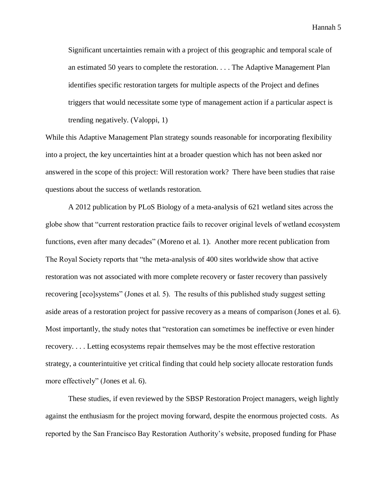Significant uncertainties remain with a project of this geographic and temporal scale of an estimated 50 years to complete the restoration. . . . The Adaptive Management Plan identifies specific restoration targets for multiple aspects of the Project and defines triggers that would necessitate some type of management action if a particular aspect is trending negatively. (Valoppi, 1)

While this Adaptive Management Plan strategy sounds reasonable for incorporating flexibility into a project, the key uncertainties hint at a broader question which has not been asked nor answered in the scope of this project: Will restoration work? There have been studies that raise questions about the success of wetlands restoration.

A 2012 publication by PLoS Biology of a meta-analysis of 621 wetland sites across the globe show that "current restoration practice fails to recover original levels of wetland ecosystem functions, even after many decades" (Moreno et al. 1). Another more recent publication from The Royal Society reports that "the meta-analysis of 400 sites worldwide show that active restoration was not associated with more complete recovery or faster recovery than passively recovering [eco]systems" (Jones et al. 5). The results of this published study suggest setting aside areas of a restoration project for passive recovery as a means of comparison (Jones et al. 6). Most importantly, the study notes that "restoration can sometimes be ineffective or even hinder recovery. . . . Letting ecosystems repair themselves may be the most effective restoration strategy, a counterintuitive yet critical finding that could help society allocate restoration funds more effectively" (Jones et al. 6).

These studies, if even reviewed by the SBSP Restoration Project managers, weigh lightly against the enthusiasm for the project moving forward, despite the enormous projected costs. As reported by the San Francisco Bay Restoration Authority's website, proposed funding for Phase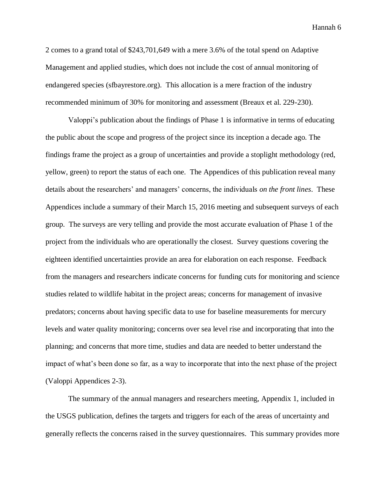2 comes to a grand total of \$243,701,649 with a mere 3.6% of the total spend on Adaptive Management and applied studies, which does not include the cost of annual monitoring of endangered species (sfbayrestore.org). This allocation is a mere fraction of the industry recommended minimum of 30% for monitoring and assessment (Breaux et al. 229-230).

Valoppi's publication about the findings of Phase 1 is informative in terms of educating the public about the scope and progress of the project since its inception a decade ago. The findings frame the project as a group of uncertainties and provide a stoplight methodology (red, yellow, green) to report the status of each one. The Appendices of this publication reveal many details about the researchers' and managers' concerns, the individuals *on the front lines*. These Appendices include a summary of their March 15, 2016 meeting and subsequent surveys of each group. The surveys are very telling and provide the most accurate evaluation of Phase 1 of the project from the individuals who are operationally the closest. Survey questions covering the eighteen identified uncertainties provide an area for elaboration on each response. Feedback from the managers and researchers indicate concerns for funding cuts for monitoring and science studies related to wildlife habitat in the project areas; concerns for management of invasive predators; concerns about having specific data to use for baseline measurements for mercury levels and water quality monitoring; concerns over sea level rise and incorporating that into the planning; and concerns that more time, studies and data are needed to better understand the impact of what's been done so far, as a way to incorporate that into the next phase of the project (Valoppi Appendices 2-3).

The summary of the annual managers and researchers meeting, Appendix 1, included in the USGS publication, defines the targets and triggers for each of the areas of uncertainty and generally reflects the concerns raised in the survey questionnaires. This summary provides more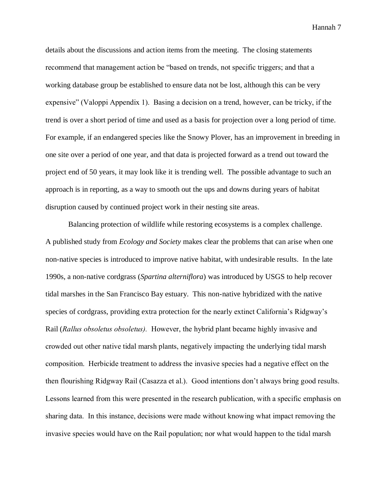details about the discussions and action items from the meeting. The closing statements recommend that management action be "based on trends, not specific triggers; and that a working database group be established to ensure data not be lost, although this can be very expensive" (Valoppi Appendix 1). Basing a decision on a trend, however, can be tricky, if the trend is over a short period of time and used as a basis for projection over a long period of time. For example, if an endangered species like the Snowy Plover, has an improvement in breeding in one site over a period of one year, and that data is projected forward as a trend out toward the project end of 50 years, it may look like it is trending well. The possible advantage to such an approach is in reporting, as a way to smooth out the ups and downs during years of habitat disruption caused by continued project work in their nesting site areas.

Balancing protection of wildlife while restoring ecosystems is a complex challenge. A published study from *Ecology and Society* makes clear the problems that can arise when one non-native species is introduced to improve native habitat, with undesirable results. In the late 1990s, a non-native cordgrass (*Spartina alterniflora*) was introduced by USGS to help recover tidal marshes in the San Francisco Bay estuary. This non-native hybridized with the native species of cordgrass, providing extra protection for the nearly extinct California's Ridgway's Rail (*Rallus obsoletus obsoletus).* However, the hybrid plant became highly invasive and crowded out other native tidal marsh plants, negatively impacting the underlying tidal marsh composition. Herbicide treatment to address the invasive species had a negative effect on the then flourishing Ridgway Rail (Casazza et al.). Good intentions don't always bring good results. Lessons learned from this were presented in the research publication, with a specific emphasis on sharing data. In this instance, decisions were made without knowing what impact removing the invasive species would have on the Rail population; nor what would happen to the tidal marsh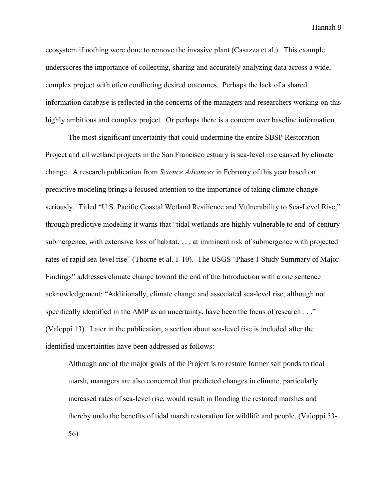ecosystem if nothing were done to remove the invasive plant (Casazza et al.). This example underscores the importance of collecting, sharing and accurately analyzing data across a wide, complex project with often conflicting desired outcomes. Perhaps the lack of a shared information database is reflected in the concerns of the managers and researchers working on this highly ambitious and complex project. Or perhaps there is a concern over baseline information.

The most significant uncertainty that could undermine the entire SBSP Restoration Project and all wetland projects in the San Francisco estuary is sea-level rise caused by climate change. A research publication from *Science Advances* in February of this year based on predictive modeling brings a focused attention to the importance of taking climate change seriously. Titled "U.S. Pacific Coastal Wetland Resilience and Vulnerability to Sea-Level Rise," through predictive modeling it warns that "tidal wetlands are highly vulnerable to end-of-century submergence, with extensive loss of habitat. . . . at imminent risk of submergence with projected rates of rapid sea-level rise" (Thorne et al. 1-10). The USGS "Phase 1 Study Summary of Major Findings" addresses climate change toward the end of the Introduction with a one sentence acknowledgement: "Additionally, climate change and associated sea-level rise, although not specifically identified in the AMP as an uncertainty, have been the focus of research . . ." (Valoppi 13). Later in the publication, a section about sea-level rise is included after the identified uncertainties have been addressed as follows:

Although one of the major goals of the Project is to restore former salt ponds to tidal marsh, managers are also concerned that predicted changes in climate, particularly increased rates of sea-level rise, would result in flooding the restored marshes and thereby undo the benefits of tidal marsh restoration for wildlife and people. (Valoppi 53- 56)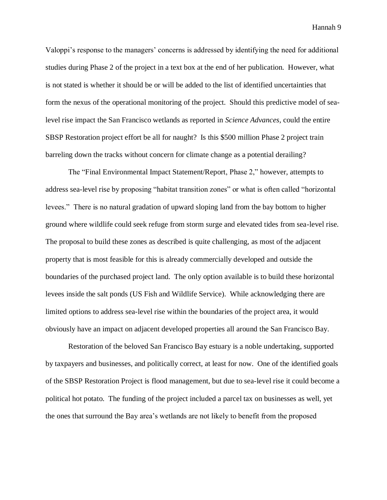Valoppi's response to the managers' concerns is addressed by identifying the need for additional studies during Phase 2 of the project in a text box at the end of her publication. However, what is not stated is whether it should be or will be added to the list of identified uncertainties that form the nexus of the operational monitoring of the project. Should this predictive model of sealevel rise impact the San Francisco wetlands as reported in *Science Advances,* could the entire SBSP Restoration project effort be all for naught? Is this \$500 million Phase 2 project train barreling down the tracks without concern for climate change as a potential derailing?

The "Final Environmental Impact Statement/Report, Phase 2," however, attempts to address sea-level rise by proposing "habitat transition zones" or what is often called "horizontal levees." There is no natural gradation of upward sloping land from the bay bottom to higher ground where wildlife could seek refuge from storm surge and elevated tides from sea-level rise. The proposal to build these zones as described is quite challenging, as most of the adjacent property that is most feasible for this is already commercially developed and outside the boundaries of the purchased project land. The only option available is to build these horizontal levees inside the salt ponds (US Fish and Wildlife Service). While acknowledging there are limited options to address sea-level rise within the boundaries of the project area, it would obviously have an impact on adjacent developed properties all around the San Francisco Bay.

Restoration of the beloved San Francisco Bay estuary is a noble undertaking, supported by taxpayers and businesses, and politically correct, at least for now. One of the identified goals of the SBSP Restoration Project is flood management, but due to sea-level rise it could become a political hot potato. The funding of the project included a parcel tax on businesses as well, yet the ones that surround the Bay area's wetlands are not likely to benefit from the proposed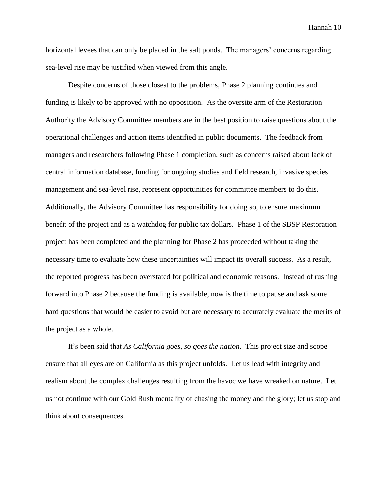horizontal levees that can only be placed in the salt ponds. The managers' concerns regarding sea-level rise may be justified when viewed from this angle.

Despite concerns of those closest to the problems, Phase 2 planning continues and funding is likely to be approved with no opposition. As the oversite arm of the Restoration Authority the Advisory Committee members are in the best position to raise questions about the operational challenges and action items identified in public documents. The feedback from managers and researchers following Phase 1 completion, such as concerns raised about lack of central information database, funding for ongoing studies and field research, invasive species management and sea-level rise, represent opportunities for committee members to do this. Additionally, the Advisory Committee has responsibility for doing so, to ensure maximum benefit of the project and as a watchdog for public tax dollars. Phase 1 of the SBSP Restoration project has been completed and the planning for Phase 2 has proceeded without taking the necessary time to evaluate how these uncertainties will impact its overall success. As a result, the reported progress has been overstated for political and economic reasons. Instead of rushing forward into Phase 2 because the funding is available, now is the time to pause and ask some hard questions that would be easier to avoid but are necessary to accurately evaluate the merits of the project as a whole.

It's been said that *As California goes, so goes the nation.* This project size and scope ensure that all eyes are on California as this project unfolds. Let us lead with integrity and realism about the complex challenges resulting from the havoc we have wreaked on nature. Let us not continue with our Gold Rush mentality of chasing the money and the glory; let us stop and think about consequences.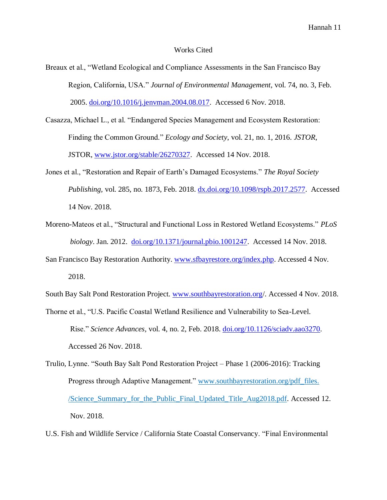## Works Cited

- Breaux et al., "Wetland Ecological and Compliance Assessments in the San Francisco Bay Region, California, USA." *Journal of Environmental Management*, vol. 74, no. 3, Feb. 2005. [doi.org/10.1016/j.jenvman.2004.08.017.](https://doi.org/10.1016/j.jenvman.2004.08.017) Accessed 6 Nov. 2018.
- Casazza, Michael L., et al. "Endangered Species Management and Ecosystem Restoration: Finding the Common Ground." *Ecology and Society*, vol. 21, no. 1, 2016. *JSTOR*, JSTOR, [www.jstor.org/stable/26270327.](http://www.jstor.org/stable/26270327) Accessed 14 Nov. 2018.
- Jones et al., "Restoration and Repair of Earth's Damaged Ecosystems." *The Royal Society Publishing,* vol. 285, no. 1873, Feb. 2018. [dx.doi.org/10.1098/rspb.2017.2577.](http://dx.doi.org/10.1098/rspb.2017.2577) Accessed 14 Nov. 2018.
- Moreno-Mateos et al., "Structural and Functional Loss in Restored Wetland Ecosystems." *PLoS biology*. Jan. 2012. [doi.org/10.1371/journal.pbio.1001247.](https://doi.org/10.1371/journal.pbio.1001247) Accessed 14 Nov. 2018.
- San Francisco Bay Restoration Authority. [www.sfbayrestore.org/index.php.](http://www.sfbayrestore.org/index.php) Accessed 4 Nov. 2018.

South Bay Salt Pond Restoration Project. [www.southbayrestoration.org/](http://www.southbayrestoration.org/). Accessed 4 Nov. 2018.

- Thorne et al., "U.S. Pacific Coastal Wetland Resilience and Vulnerability to Sea-Level. Rise." *Science Advances,* vol. 4, no. 2, Feb. 2018. [doi.org/10.1126/sciadv.aao3270.](https://doi.org/10.1126/sciadv.aao3270) Accessed 26 Nov. 2018.
- Trulio, Lynne. "South Bay Salt Pond Restoration Project Phase 1 (2006-2016): Tracking Progress through Adaptive Management." [www.southbayrestoration.org/pdf\\_files.](http://www.southbayrestoration.org/pdf_files/Science_Summary_for_the_Public_Final_Updated_Title_Aug2018.pdf)  [/Science\\_Summary\\_for\\_the\\_Public\\_Final\\_Updated\\_Title\\_Aug2018.pdf.](http://www.southbayrestoration.org/pdf_files/Science_Summary_for_the_Public_Final_Updated_Title_Aug2018.pdf) Accessed 12. Nov. 2018.

U.S. Fish and Wildlife Service / California State Coastal Conservancy. "Final Environmental